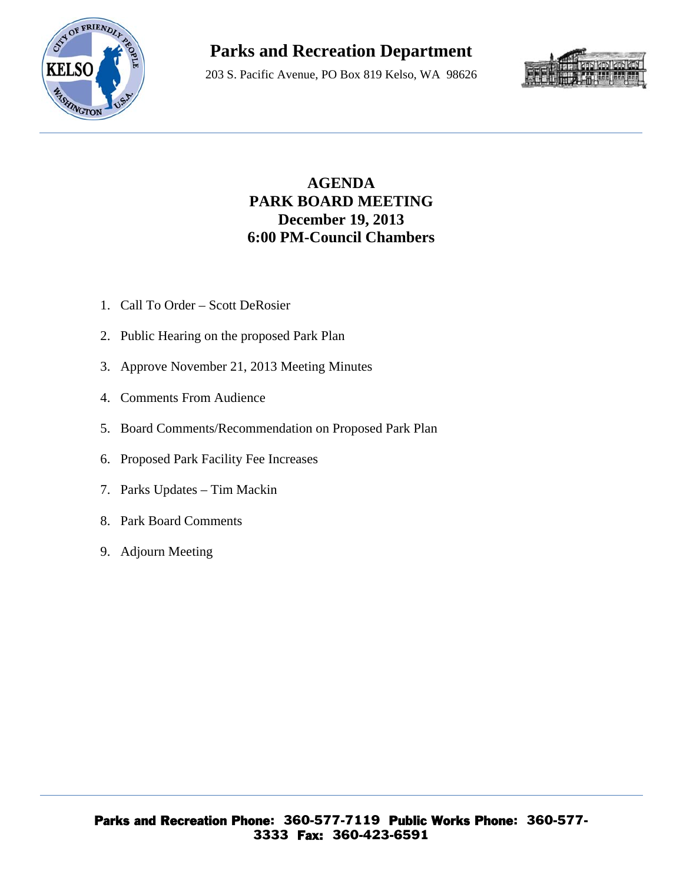

# **Parks and Recreation Department**

203 S. Pacific Avenue, PO Box 819 Kelso, WA 98626



### **AGENDA PARK BOARD MEETING December 19, 2013 6:00 PM-Council Chambers**

- 1. Call To Order Scott DeRosier
- 2. Public Hearing on the proposed Park Plan
- 3. Approve November 21, 2013 Meeting Minutes
- 4. Comments From Audience
- 5. Board Comments/Recommendation on Proposed Park Plan
- 6. Proposed Park Facility Fee Increases
- 7. Parks Updates Tim Mackin
- 8. Park Board Comments
- 9. Adjourn Meeting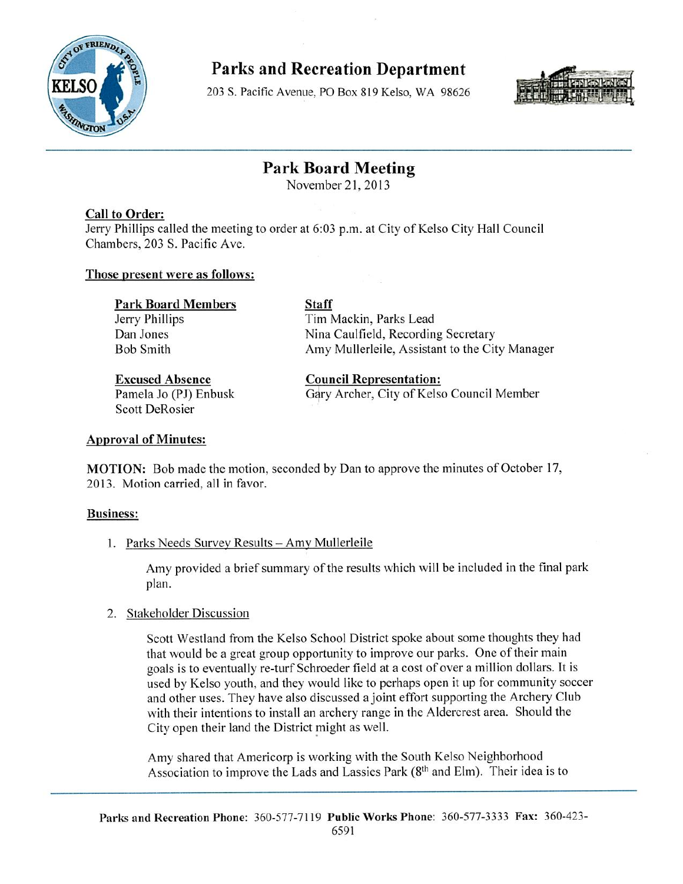

**Parks and Recreation Department** 

203 S. Pacific Avenue, PO Box 819 Kelso, WA 98626



### **Park Board Meeting**

November 21, 2013

#### **Call to Order:**

Jerry Phillips called the meeting to order at 6:03 p.m. at City of Kelso City Hall Council Chambers, 203 S. Pacific Ave.

#### Those present were as follows:

| <b>Staff</b>                                   |
|------------------------------------------------|
| Tim Mackin, Parks Lead                         |
| Nina Caulfield, Recording Secretary            |
| Amy Mullerleile, Assistant to the City Manager |
|                                                |

**Excused Absence** Pamela Jo (PJ) Enbusk **Scott DeRosier** 

**Council Representation:** Gary Archer, City of Kelso Council Member

#### **Approval of Minutes:**

**MOTION:** Bob made the motion, seconded by Dan to approve the minutes of October 17, 2013. Motion carried, all in favor.

#### **Business:**

1. Parks Needs Survey Results - Amy Mullerleile

Amy provided a brief summary of the results which will be included in the final park plan.

#### 2. Stakeholder Discussion

Scott Westland from the Kelso School District spoke about some thoughts they had that would be a great group opportunity to improve our parks. One of their main goals is to eventually re-turf Schroeder field at a cost of over a million dollars. It is used by Kelso youth, and they would like to perhaps open it up for community soccer and other uses. They have also discussed a joint effort supporting the Archery Club with their intentions to install an archery range in the Aldercrest area. Should the City open their land the District might as well.

Amy shared that Americorp is working with the South Kelso Neighborhood Association to improve the Lads and Lassies Park (8<sup>th</sup> and Elm). Their idea is to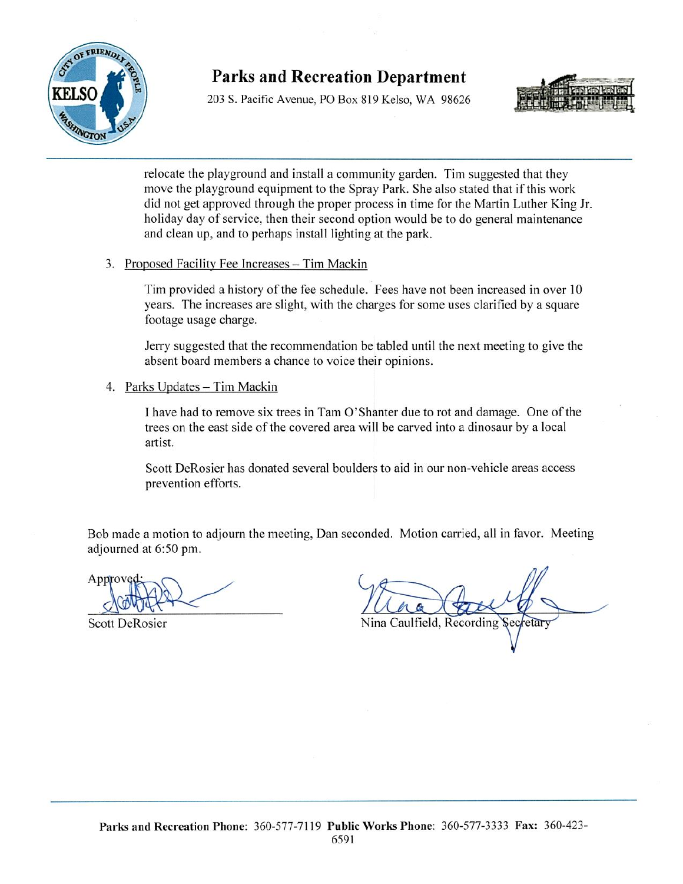

### **Parks and Recreation Department**

203 S. Pacific Avenue, PO Box 819 Kelso, WA 98626



relocate the playground and install a community garden. Tim suggested that they move the playground equipment to the Spray Park. She also stated that if this work did not get approved through the proper process in time for the Martin Luther King Jr. holiday day of service, then their second option would be to do general maintenance and clean up, and to perhaps install lighting at the park.

3. Proposed Facility Fee Increases - Tim Mackin

Tim provided a history of the fee schedule. Fees have not been increased in over 10 years. The increases are slight, with the charges for some uses clarified by a square footage usage charge.

Jerry suggested that the recommendation be tabled until the next meeting to give the absent board members a chance to voice their opinions.

4. Parks Updates - Tim Mackin

I have had to remove six trees in Tam O'Shanter due to rot and damage. One of the trees on the east side of the covered area will be carved into a dinosaur by a local artist.

Scott DeRosier has donated several boulders to aid in our non-vehicle areas access prevention efforts.

Bob made a motion to adjourn the meeting, Dan seconded. Motion carried, all in favor. Meeting adjourned at 6:50 pm.

Appro

**Scott DeRosier** 

Nina Caulfield, Recording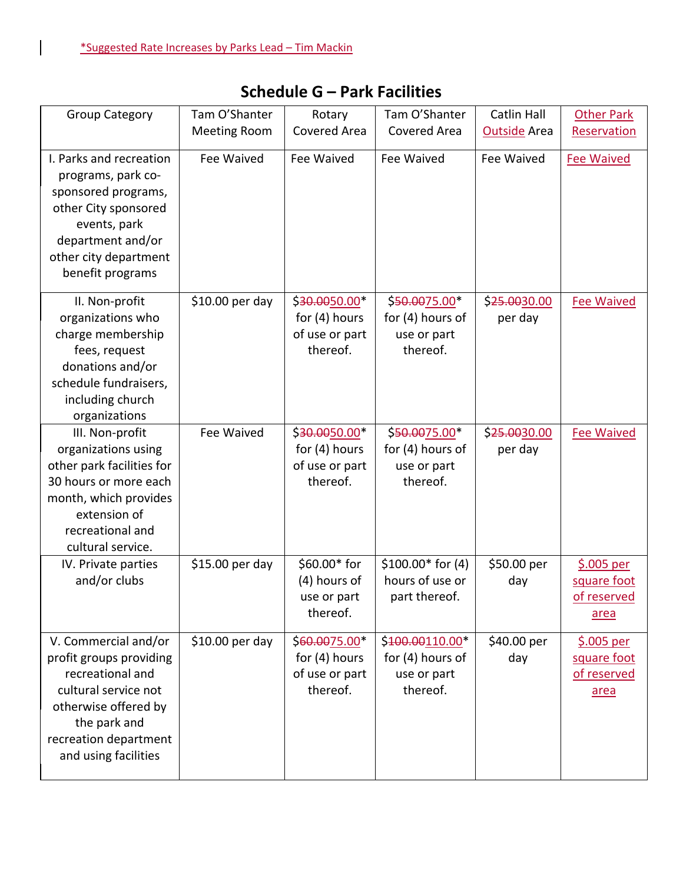$\overline{\phantom{a}}$ 

| <b>Group Category</b>                                                                                                                                                                | Tam O'Shanter<br><b>Meeting Room</b> | Rotary<br>Covered Area                                         | Tam O'Shanter<br>Covered Area                                    | <b>Catlin Hall</b><br><b>Outside Area</b> | <b>Other Park</b><br>Reservation                  |
|--------------------------------------------------------------------------------------------------------------------------------------------------------------------------------------|--------------------------------------|----------------------------------------------------------------|------------------------------------------------------------------|-------------------------------------------|---------------------------------------------------|
| I. Parks and recreation<br>programs, park co-<br>sponsored programs,<br>other City sponsored<br>events, park<br>department and/or<br>other city department<br>benefit programs       | Fee Waived                           | Fee Waived                                                     | Fee Waived                                                       | Fee Waived                                | <b>Fee Waived</b>                                 |
| II. Non-profit<br>organizations who<br>charge membership<br>fees, request<br>donations and/or<br>schedule fundraisers,<br>including church<br>organizations                          | \$10.00 per day                      | \$30.0050.00*<br>for $(4)$ hours<br>of use or part<br>thereof. | \$50.0075.00*<br>for (4) hours of<br>use or part<br>thereof.     | \$25.0030.00<br>per day                   | <b>Fee Waived</b>                                 |
| III. Non-profit<br>organizations using<br>other park facilities for<br>30 hours or more each<br>month, which provides<br>extension of<br>recreational and<br>cultural service.       | Fee Waived                           | \$30.0050.00<br>for $(4)$ hours<br>of use or part<br>thereof.  | \$50.0075.00<br>for (4) hours of<br>use or part<br>thereof.      | \$25.0030.00<br>per day                   | <b>Fee Waived</b>                                 |
| IV. Private parties<br>and/or clubs                                                                                                                                                  | \$15.00 per day                      | \$60.00* for<br>(4) hours of<br>use or part<br>thereof.        | $$100.00*$ for (4)<br>hours of use or<br>part thereof.           | \$50.00 per<br>day                        | $$.005$ per<br>square foot<br>of reserved<br>area |
| V. Commercial and/or<br>profit groups providing<br>recreational and<br>cultural service not<br>otherwise offered by<br>the park and<br>recreation department<br>and using facilities | \$10.00 per day                      | \$60.0075.00*<br>for $(4)$ hours<br>of use or part<br>thereof. | \$400.00110.00*<br>for $(4)$ hours of<br>use or part<br>thereof. | \$40.00 per<br>day                        | $$.005$ per<br>square foot<br>of reserved<br>area |

## **Schedule G – Park Facilities**